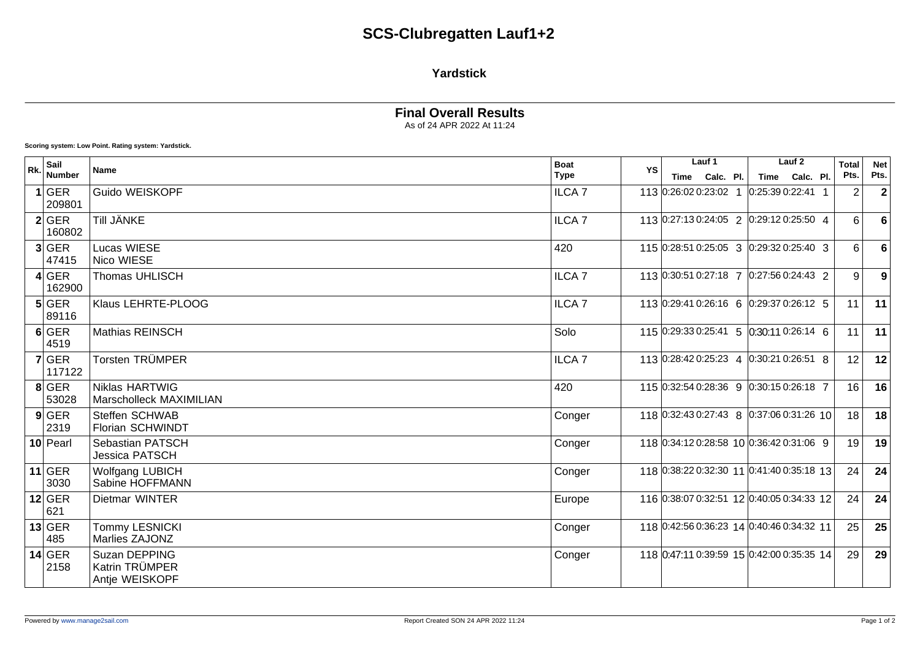## **SCS-Clubregatten Lauf1+2**

### **Yardstick**

## **Final Overall Results**

As of 24 APR 2022 At 11:24

**Scoring system: Low Point. Rating system: Yardstick.**

| Rk. | Sail<br><b>Number</b> | <b>Name</b>                                       | <b>Boat</b><br><b>Type</b> | YS | Lauf 1                                    | Lauf <sub>2</sub> | <b>Total</b><br>Pts. | <b>Net</b>  |
|-----|-----------------------|---------------------------------------------------|----------------------------|----|-------------------------------------------|-------------------|----------------------|-------------|
|     |                       |                                                   |                            |    | Time Calc. Pl.                            | Calc. Pl.<br>Time |                      | Pts.        |
|     | 1 GER<br>209801       | Guido WEISKOPF                                    | <b>ILCA 7</b>              |    | 113 0:26:02 0:23:02 1                     | 0:25:390:22:41    | $\overline{2}$       | $\mathbf 2$ |
|     | $2$ GER<br>160802     | Till JÄNKE                                        | ILCA <sub>7</sub>          |    | 113 0:27:13 0:24:05 2 0:29:12 0:25:50 4   |                   | 6                    | 6           |
|     | 3 GER<br>47415        | <b>Lucas WIESE</b><br>Nico WIESE                  | 420                        |    | 115 0:28:51 0:25:05 3 0:29:32 0:25:40 3   |                   | 6                    | 6           |
|     | 4 GER<br>162900       | Thomas UHLISCH                                    | ILCA <sub>7</sub>          |    | 113 0:30:51 0:27:18 7 0:27:56 0:24:43 2   |                   | 9                    | 9           |
|     | $5$ GER<br>89116      | Klaus LEHRTE-PLOOG                                | <b>ILCA7</b>               |    | 113 0:29:41 0:26:16 6 0:29:37 0:26:12 5   |                   | 11                   | 11          |
|     | 6 GER<br>4519         | <b>Mathias REINSCH</b>                            | Solo                       |    | 115 0:29:33 0:25:41 5 0:30:11 0:26:14 6   |                   | 11                   | 11          |
|     | $7$ GER<br>117122     | Torsten TRÜMPER                                   | ILCA <sub>7</sub>          |    | 113 0:28:42 0:25:23 4 0:30:21 0:26:51 8   |                   | 12                   | 12          |
|     | $8$ GER<br>53028      | <b>Niklas HARTWIG</b><br>Marscholleck MAXIMILIAN  | 420                        |    | 115 0:32:54 0:28:36 9 0:30:15 0:26:18 7   |                   | 16                   | 16          |
|     | $9$ GER<br>2319       | Steffen SCHWAB<br>Florian SCHWINDT                | Conger                     |    | 118 0:32:43 0:27:43 8 0:37:06 0:31:26 10  |                   | 18 <sup>1</sup>      | 18          |
|     | $10$ Pearl            | Sebastian PATSCH<br><b>Jessica PATSCH</b>         | Conger                     |    | 118 0:34:12 0:28:58 10 0:36:42 0:31:06 9  |                   | 19                   | 19          |
|     | $11$ GER<br>3030      | <b>Wolfgang LUBICH</b><br>Sabine HOFFMANN         | Conger                     |    | 118 0:38:22 0:32:30 11 0:41:40 0:35:18 13 |                   | 24                   | 24          |
|     | $12$ GER<br>621       | Dietmar WINTER                                    | Europe                     |    | 116 0:38:07 0:32:51 12 0:40:05 0:34:33 12 |                   | 24                   | 24          |
|     | $13$ GER<br>485       | <b>Tommy LESNICKI</b><br>Marlies ZAJONZ           | Conger                     |    | 118 0:42:56 0:36:23 14 0:40:46 0:34:32 11 |                   | 25                   | 25          |
|     | $14$ GER<br>2158      | Suzan DEPPING<br>Katrin TRÜMPER<br>Antje WEISKOPF | Conger                     |    | 118 0:47:11 0:39:59 15 0:42:00 0:35:35 14 |                   | 29                   | 29          |